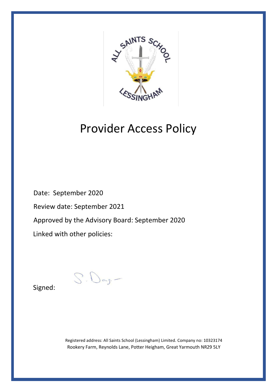

# Provider Access Policy

Date: September 2020 Review date: September 2021 Approved by the Advisory Board: September 2020 Linked with other policies:

 $S.D_{\alpha\beta}$ 

Signed:

Registered address: All Saints School (Lessingham) Limited. Company no: 10323174 Rookery Farm, Reynolds Lane, Potter Heigham, Great Yarmouth NR29 5LY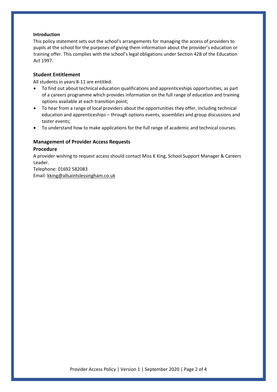# **Introduction**

This policy statement sets out the school's arrangements for managing the access of providers to pupils at the school for the purposes of giving them information about the provider's education or training offer. This complies with the school's legal obligations under Section 42B of the Education Act 1997.

# **Student Entitlement**

All students in years 8-11 are entitled:

- To find out about technical education qualifications and apprenticeships opportunities, as part of a careers programme which provides information on the full range of education and training options available at each transition point;
- To hear from a range of local providers about the opportunities they offer, including technical education and apprenticeships – through options events, assemblies and group discussions and taster events;
- To understand how to make applications for the full range of academic and technical courses.

# **Management of Provider Access Requests**

# **Procedure**

A provider wishing to request access should contact Miss K King, School Support Manager & Careers Leader.

Telephone: 01692 582083 Email[: kking@allsaintslessingham.co.uk](mailto:kking@allsaintslessingham.co.uk)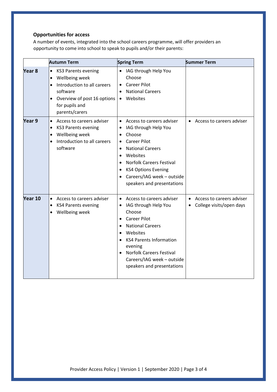# **Opportunities for access**

A number of events, integrated into the school careers programme, will offer providers an opportunity to come into school to speak to pupils and/or their parents:

|                   | <b>Autumn Term</b>                                                                                                                                                                                             | <b>Spring Term</b>                                                                                                                                                                                                                                                                   | <b>Summer Term</b>                                      |
|-------------------|----------------------------------------------------------------------------------------------------------------------------------------------------------------------------------------------------------------|--------------------------------------------------------------------------------------------------------------------------------------------------------------------------------------------------------------------------------------------------------------------------------------|---------------------------------------------------------|
| Year <sub>8</sub> | <b>KS3 Parents evening</b><br>$\bullet$<br>Wellbeing week<br>$\bullet$<br>Introduction to all careers<br>$\bullet$<br>software<br>Overview of post 16 options<br>$\bullet$<br>for pupils and<br>parents/carers | IAG through Help You<br>$\bullet$<br>Choose<br><b>Career Pilot</b><br><b>National Careers</b><br>Websites<br>$\bullet$                                                                                                                                                               |                                                         |
| Year 9            | Access to careers adviser<br>$\bullet$<br><b>KS3 Parents evening</b><br>$\bullet$<br>Wellbeing week<br>$\bullet$<br>Introduction to all careers<br>$\bullet$<br>software                                       | Access to careers adviser<br>$\bullet$<br>IAG through Help You<br>Choose<br><b>Career Pilot</b><br>$\bullet$<br><b>National Careers</b><br>Websites<br><b>Norfolk Careers Festival</b><br><b>KS4 Options Evening</b><br>Careers/IAG week - outside<br>speakers and presentations     | Access to careers adviser                               |
| Year 10           | Access to careers adviser<br>$\bullet$<br><b>KS4 Parents evening</b><br>$\bullet$<br>Wellbeing week<br>$\bullet$                                                                                               | • Access to careers adviser<br>IAG through Help You<br>Choose<br><b>Career Pilot</b><br>$\bullet$<br><b>National Careers</b><br>Websites<br><b>KS4 Parents Information</b><br>evening<br><b>Norfolk Careers Festival</b><br>Careers/IAG week - outside<br>speakers and presentations | • Access to careers adviser<br>College visits/open days |